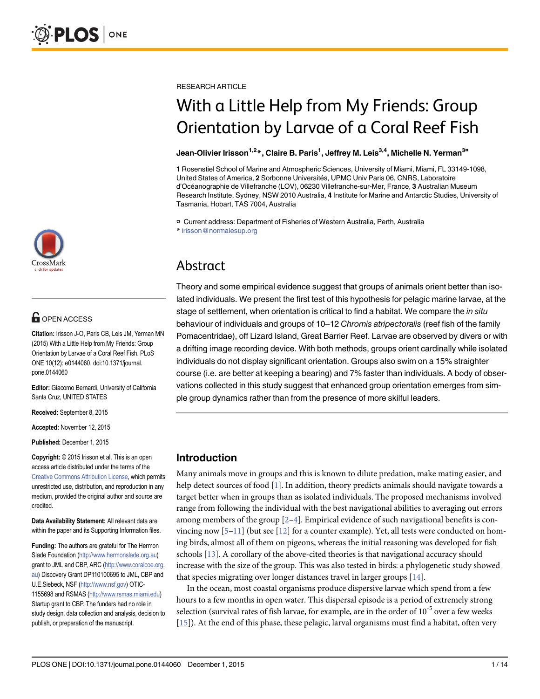

# **G** OPEN ACCESS

Citation: Irisson J-O, Paris CB, Leis JM, Yerman MN (2015) With a Little Help from My Friends: Group Orientation by Larvae of a Coral Reef Fish. PLoS ONE 10(12): e0144060. doi:10.1371/journal. pone.0144060

Editor: Giacomo Bernardi, University of California Santa Cruz, UNITED STATES

Received: September 8, 2015

Accepted: November 12, 2015

Published: December 1, 2015

Copyright: © 2015 Irisson et al. This is an open access article distributed under the terms of the [Creative Commons Attribution License,](http://creativecommons.org/licenses/by/4.0/) which permits unrestricted use, distribution, and reproduction in any medium, provided the original author and source are credited.

Data Availability Statement: All relevant data are within the paper and its Supporting Information files.

Funding: The authors are grateful for The Hermon Slade Foundation ([http://www.hermonslade.org.au\)](http://www.hermonslade.org.au) grant to JML and CBP, ARC [\(http://www.coralcoe.org.](http://www.coralcoe.org.au) [au](http://www.coralcoe.org.au)) Discovery Grant DP110100695 to JML, CBP and U.E.Siebeck, NSF [\(http://www.nsf.gov\)](http://www.nsf.gov) OTIC-1155698 and RSMAS [\(http://www.rsmas.miami.edu](http://www.rsmas.miami.edu)) Startup grant to CBP. The funders had no role in study design, data collection and analysis, decision to publish, or preparation of the manuscript.

<span id="page-0-0"></span>RESEARCH ARTICLE

# With a Little Help from My Friends: Group Orientation by Larvae of a Coral Reef Fish

#### Jean-Olivier Irisson<sup>1,2</sup>\*, Claire B. Paris<sup>1</sup>, Jeffrey M. Leis<sup>3,4</sup>, Michelle N. Yerman<sup>3¤</sup>

1 Rosenstiel School of Marine and Atmospheric Sciences, University of Miami, Miami, FL 33149-1098, United States of America, 2 Sorbonne Universités, UPMC Univ Paris 06, CNRS, Laboratoire d'Océanographie de Villefranche (LOV), 06230 Villefranche-sur-Mer, France, 3 Australian Museum Research Institute, Sydney, NSW 2010 Australia, 4 Institute for Marine and Antarctic Studies, University of Tasmania, Hobart, TAS 7004, Australia

¤ Current address: Department of Fisheries of Western Australia, Perth, Australia \* irisson@normalesup.org

# Abstract

Theory and some empirical evidence suggest that groups of animals orient better than isolated individuals. We present the first test of this hypothesis for pelagic marine larvae, at the stage of settlement, when orientation is critical to find a habitat. We compare the in situ behaviour of individuals and groups of 10–12 Chromis atripectoralis (reef fish of the family Pomacentridae), off Lizard Island, Great Barrier Reef. Larvae are observed by divers or with a drifting image recording device. With both methods, groups orient cardinally while isolated individuals do not display significant orientation. Groups also swim on a 15% straighter course (i.e. are better at keeping a bearing) and 7% faster than individuals. A body of observations collected in this study suggest that enhanced group orientation emerges from simple group dynamics rather than from the presence of more skilful leaders.

# Introduction

Many animals move in groups and this is known to dilute predation, make mating easier, and help detect sources of food  $[1]$  $[1]$ . In addition, theory predicts animals should navigate towards a target better when in groups than as isolated individuals. The proposed mechanisms involved range from following the individual with the best navigational abilities to averaging out errors among members of the group  $[2-4]$  $[2-4]$  $[2-4]$  $[2-4]$ . Empirical evidence of such navigational benefits is convincing now  $[5-11]$  $[5-11]$  $[5-11]$  (but see  $[12]$  for a counter example). Yet, all tests were conducted on homing birds, almost all of them on pigeons, whereas the initial reasoning was developed for fish schools [[13\]](#page-11-0). A corollary of the above-cited theories is that navigational accuracy should increase with the size of the group. This was also tested in birds: a phylogenetic study showed that species migrating over longer distances travel in larger groups [\[14](#page-11-0)].

In the ocean, most coastal organisms produce dispersive larvae which spend from a few hours to a few months in open water. This dispersal episode is a period of extremely strong selection (survival rates of fish larvae, for example, are in the order of  $10^{-5}$  over a few weeks  $[15]$  $[15]$ ). At the end of this phase, these pelagic, larval organisms must find a habitat, often very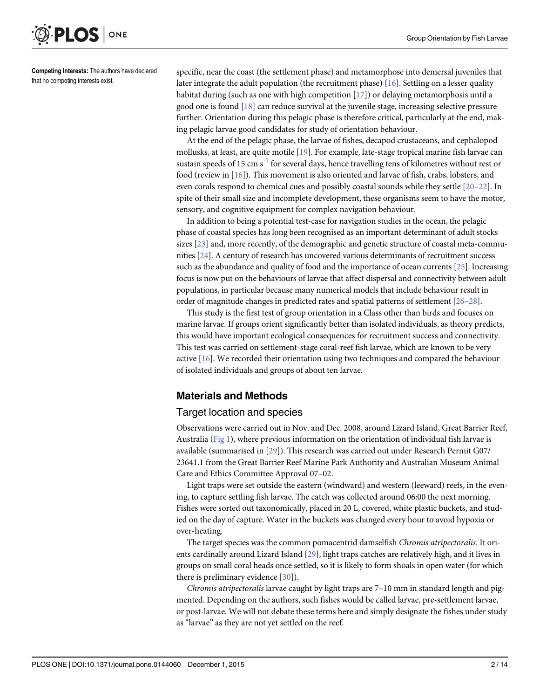<span id="page-1-0"></span>

Competing Interests: The authors have declared that no competing interests exist.

specific, near the coast (the settlement phase) and metamorphose into demersal juveniles that later integrate the adult population (the recruitment phase) [[16](#page-11-0)]. Settling on a lesser quality habitat during (such as one with high competition  $[17]$  $[17]$  $[17]$ ) or delaying metamorphosis until a good one is found [[18](#page-11-0)] can reduce survival at the juvenile stage, increasing selective pressure further. Orientation during this pelagic phase is therefore critical, particularly at the end, making pelagic larvae good candidates for study of orientation behaviour.

At the end of the pelagic phase, the larvae of fishes, decapod crustaceans, and cephalopod mollusks, at least, are quite motile [\[19](#page-12-0)]. For example, late-stage tropical marine fish larvae can sustain speeds of 15 cm  $s^{-1}$  for several days, hence travelling tens of kilometres without rest or food (review in [[16](#page-11-0)]). This movement is also oriented and larvae of fish, crabs, lobsters, and even corals respond to chemical cues and possibly coastal sounds while they settle [\[20](#page-12-0)–[22\]](#page-12-0). In spite of their small size and incomplete development, these organisms seem to have the motor, sensory, and cognitive equipment for complex navigation behaviour.

In addition to being a potential test-case for navigation studies in the ocean, the pelagic phase of coastal species has long been recognised as an important determinant of adult stocks sizes [[23](#page-12-0)] and, more recently, of the demographic and genetic structure of coastal meta-communities [[24](#page-12-0)]. A century of research has uncovered various determinants of recruitment success such as the abundance and quality of food and the importance of ocean currents  $[25]$  $[25]$  $[25]$ . Increasing focus is now put on the behaviours of larvae that affect dispersal and connectivity between adult populations, in particular because many numerical models that include behaviour result in order of magnitude changes in predicted rates and spatial patterns of settlement [\[26](#page-12-0)–[28](#page-12-0)].

This study is the first test of group orientation in a Class other than birds and focuses on marine larvae. If groups orient significantly better than isolated individuals, as theory predicts, this would have important ecological consequences for recruitment success and connectivity. This test was carried on settlement-stage coral-reef fish larvae, which are known to be very active [[16](#page-11-0)]. We recorded their orientation using two techniques and compared the behaviour of isolated individuals and groups of about ten larvae.

#### Materials and Methods

#### Target location and species

Observations were carried out in Nov. and Dec. 2008, around Lizard Island, Great Barrier Reef, Australia ([Fig 1](#page-2-0)), where previous information on the orientation of individual fish larvae is available (summarised in [[29](#page-12-0)]). This research was carried out under Research Permit G07/ 23641.1 from the Great Barrier Reef Marine Park Authority and Australian Museum Animal Care and Ethics Committee Approval 07–02.

Light traps were set outside the eastern (windward) and western (leeward) reefs, in the evening, to capture settling fish larvae. The catch was collected around 06:00 the next morning. Fishes were sorted out taxonomically, placed in 20 L, covered, white plastic buckets, and studied on the day of capture. Water in the buckets was changed every hour to avoid hypoxia or over-heating.

The target species was the common pomacentrid damselfish Chromis atripectoralis. It orients cardinally around Lizard Island [[29](#page-12-0)], light traps catches are relatively high, and it lives in groups on small coral heads once settled, so it is likely to form shoals in open water (for which there is preliminary evidence [\[30\]](#page-12-0)).

Chromis atripectoralis larvae caught by light traps are 7–10 mm in standard length and pigmented. Depending on the authors, such fishes would be called larvae, pre-settlement larvae, or post-larvae. We will not debate these terms here and simply designate the fishes under study as "larvae" as they are not yet settled on the reef.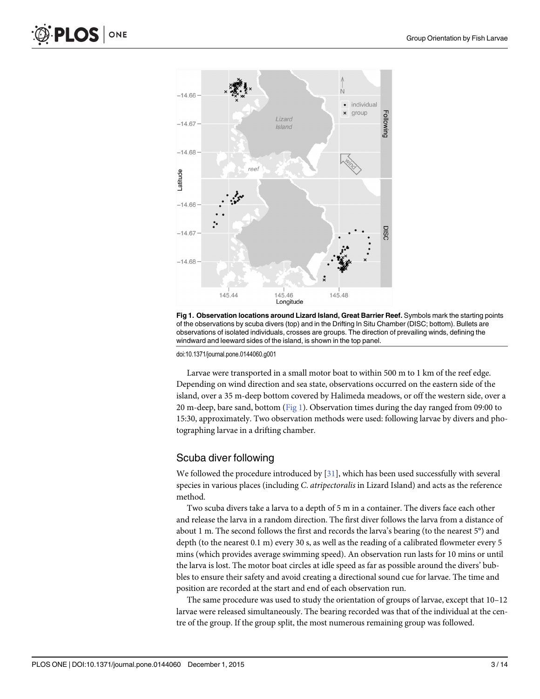<span id="page-2-0"></span>

[Fig 1. O](#page-1-0)bservation locations around Lizard Island, Great Barrier Reef. Symbols mark the starting points of the observations by scuba divers (top) and in the Drifting In Situ Chamber (DISC; bottom). Bullets are observations of isolated individuals, crosses are groups. The direction of prevailing winds, defining the windward and leeward sides of the island, is shown in the top panel.

doi:10.1371/journal.pone.0144060.g001

Larvae were transported in a small motor boat to within 500 m to 1 km of the reef edge. Depending on wind direction and sea state, observations occurred on the eastern side of the island, over a 35 m-deep bottom covered by Halimeda meadows, or off the western side, over a 20 m-deep, bare sand, bottom (Fig 1). Observation times during the day ranged from 09:00 to 15:30, approximately. Two observation methods were used: following larvae by divers and photographing larvae in a drifting chamber.

#### Scuba diver following

We followed the procedure introduced by  $[31]$  $[31]$  $[31]$ , which has been used successfully with several species in various places (including C. atripectoralis in Lizard Island) and acts as the reference method.

Two scuba divers take a larva to a depth of 5 m in a container. The divers face each other and release the larva in a random direction. The first diver follows the larva from a distance of about 1 m. The second follows the first and records the larva's bearing (to the nearest 5°) and depth (to the nearest 0.1 m) every 30 s, as well as the reading of a calibrated flowmeter every 5 mins (which provides average swimming speed). An observation run lasts for 10 mins or until the larva is lost. The motor boat circles at idle speed as far as possible around the divers' bubbles to ensure their safety and avoid creating a directional sound cue for larvae. The time and position are recorded at the start and end of each observation run.

The same procedure was used to study the orientation of groups of larvae, except that 10–12 larvae were released simultaneously. The bearing recorded was that of the individual at the centre of the group. If the group split, the most numerous remaining group was followed.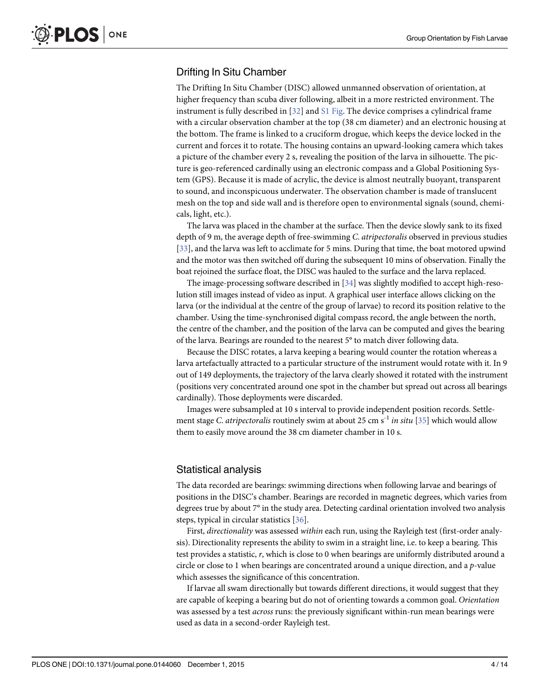#### <span id="page-3-0"></span>Drifting In Situ Chamber

The Drifting In Situ Chamber (DISC) allowed unmanned observation of orientation, at higher frequency than scuba diver following, albeit in a more restricted environment. The instrument is fully described in  $[32]$  $[32]$  and  $S1$  Fig. The device comprises a cylindrical frame with a circular observation chamber at the top (38 cm diameter) and an electronic housing at the bottom. The frame is linked to a cruciform drogue, which keeps the device locked in the current and forces it to rotate. The housing contains an upward-looking camera which takes a picture of the chamber every 2 s, revealing the position of the larva in silhouette. The picture is geo-referenced cardinally using an electronic compass and a Global Positioning System (GPS). Because it is made of acrylic, the device is almost neutrally buoyant, transparent to sound, and inconspicuous underwater. The observation chamber is made of translucent mesh on the top and side wall and is therefore open to environmental signals (sound, chemicals, light, etc.).

The larva was placed in the chamber at the surface. Then the device slowly sank to its fixed depth of 9 m, the average depth of free-swimming C. atripectoralis observed in previous studies [\[33](#page-12-0)], and the larva was left to acclimate for 5 mins. During that time, the boat motored upwind and the motor was then switched off during the subsequent 10 mins of observation. Finally the boat rejoined the surface float, the DISC was hauled to the surface and the larva replaced.

The image-processing software described in [\[34\]](#page-12-0) was slightly modified to accept high-resolution still images instead of video as input. A graphical user interface allows clicking on the larva (or the individual at the centre of the group of larvae) to record its position relative to the chamber. Using the time-synchronised digital compass record, the angle between the north, the centre of the chamber, and the position of the larva can be computed and gives the bearing of the larva. Bearings are rounded to the nearest 5° to match diver following data.

Because the DISC rotates, a larva keeping a bearing would counter the rotation whereas a larva artefactually attracted to a particular structure of the instrument would rotate with it. In 9 out of 149 deployments, the trajectory of the larva clearly showed it rotated with the instrument (positions very concentrated around one spot in the chamber but spread out across all bearings cardinally). Those deployments were discarded.

Images were subsampled at 10 s interval to provide independent position records. Settlement stage C. atripectoralis routinely swim at about 25 cm  $s^{-1}$  in situ [\[35\]](#page-12-0) which would allow them to easily move around the 38 cm diameter chamber in 10 s.

## Statistical analysis

The data recorded are bearings: swimming directions when following larvae and bearings of positions in the DISC's chamber. Bearings are recorded in magnetic degrees, which varies from degrees true by about 7° in the study area. Detecting cardinal orientation involved two analysis steps, typical in circular statistics [[36\]](#page-12-0).

First, directionality was assessed within each run, using the Rayleigh test (first-order analysis). Directionality represents the ability to swim in a straight line, i.e. to keep a bearing. This test provides a statistic,  $r$ , which is close to 0 when bearings are uniformly distributed around a circle or close to 1 when bearings are concentrated around a unique direction, and a p-value which assesses the significance of this concentration.

If larvae all swam directionally but towards different directions, it would suggest that they are capable of keeping a bearing but do not of orienting towards a common goal. Orientation was assessed by a test across runs: the previously significant within-run mean bearings were used as data in a second-order Rayleigh test.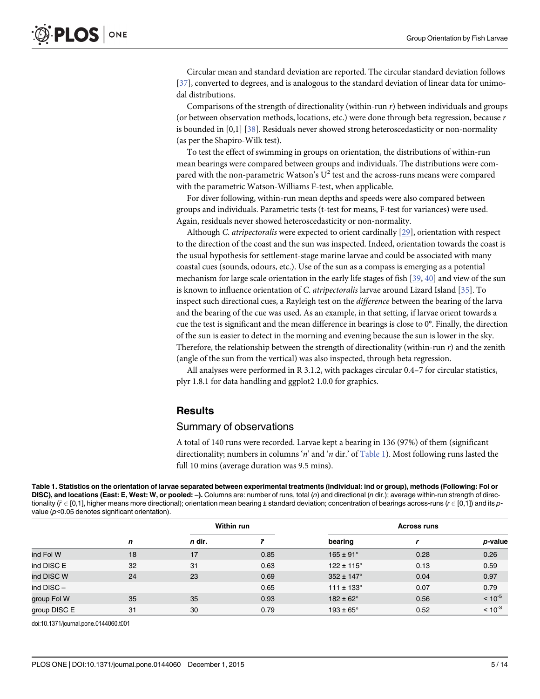<span id="page-4-0"></span>Circular mean and standard deviation are reported. The circular standard deviation follows [\[37](#page-12-0)], converted to degrees, and is analogous to the standard deviation of linear data for unimodal distributions.

Comparisons of the strength of directionality (within-run  $r$ ) between individuals and groups (or between observation methods, locations, etc.) were done through beta regression, because  $r$ is bounded in  $[0,1]$   $[38]$  $[38]$ . Residuals never showed strong heteroscedasticity or non-normality (as per the Shapiro-Wilk test).

To test the effect of swimming in groups on orientation, the distributions of within-run mean bearings were compared between groups and individuals. The distributions were compared with the non-parametric Watson's  $U^2$  test and the across-runs means were compared with the parametric Watson-Williams F-test, when applicable.

For diver following, within-run mean depths and speeds were also compared between groups and individuals. Parametric tests (t-test for means, F-test for variances) were used. Again, residuals never showed heteroscedasticity or non-normality.

Although C. *atripectoralis* were expected to orient cardinally  $[29]$  $[29]$  $[29]$ , orientation with respect to the direction of the coast and the sun was inspected. Indeed, orientation towards the coast is the usual hypothesis for settlement-stage marine larvae and could be associated with many coastal cues (sounds, odours, etc.). Use of the sun as a compass is emerging as a potential mechanism for large scale orientation in the early life stages of fish [[39](#page-12-0), [40](#page-12-0)] and view of the sun is known to influence orientation of C. atripectoralis larvae around Lizard Island [[35](#page-12-0)]. To inspect such directional cues, a Rayleigh test on the difference between the bearing of the larva and the bearing of the cue was used. As an example, in that setting, if larvae orient towards a cue the test is significant and the mean difference in bearings is close to 0°. Finally, the direction of the sun is easier to detect in the morning and evening because the sun is lower in the sky. Therefore, the relationship between the strength of directionality (within-run  $r$ ) and the zenith (angle of the sun from the vertical) was also inspected, through beta regression.

All analyses were performed in R 3.1.2, with packages circular 0.4–7 for circular statistics, plyr 1.8.1 for data handling and ggplot2 1.0.0 for graphics.

#### **Results**

#### Summary of observations

A total of 140 runs were recorded. Larvae kept a bearing in 136 (97%) of them (significant directionality; numbers in columns 'n' and 'n dir.' of  $Table 1$ ). Most following runs lasted the full 10 mins (average duration was 9.5 mins).

Table 1. Statistics on the orientation of larvae separated between experimental treatments (individual: ind or group), methods (Following: Fol or DISC), and locations (East: E, West: W, or pooled: -). Columns are: number of runs, total (n) and directional (n dir.); average within-run strength of directionality ( $\bar{r} \in [0,1]$ , higher means more directional); orientation mean bearing ± standard deviation; concentration of bearings across-runs (r  $\in [0,1]$ ) and its p-<br>value (n<0.05 denotes significant orientation) value (p<0.05 denotes significant orientation).

|              |             | Within run |      | <b>Across runs</b>    |      |             |
|--------------|-------------|------------|------|-----------------------|------|-------------|
|              | $\mathbf n$ | n dir.     |      | bearing               |      | p-value     |
| ind Fol W    | 18          | 17         | 0.85 | $165 \pm 91^{\circ}$  | 0.28 | 0.26        |
| ind DISC E   | 32          | 31         | 0.63 | $122 \pm 115^{\circ}$ | 0.13 | 0.59        |
| ind DISC W   | 24          | 23         | 0.69 | $352 \pm 147^{\circ}$ | 0.04 | 0.97        |
| ind DISC-    |             |            | 0.65 | $111 \pm 133^{\circ}$ | 0.07 | 0.79        |
| group Fol W  | 35          | 35         | 0.93 | $182 \pm 62^{\circ}$  | 0.56 | $< 10^{-5}$ |
| group DISC E | 31          | 30         | 0.79 | $193 \pm 65^{\circ}$  | 0.52 | $< 10^{-3}$ |

doi:10.1371/journal.pone.0144060.t001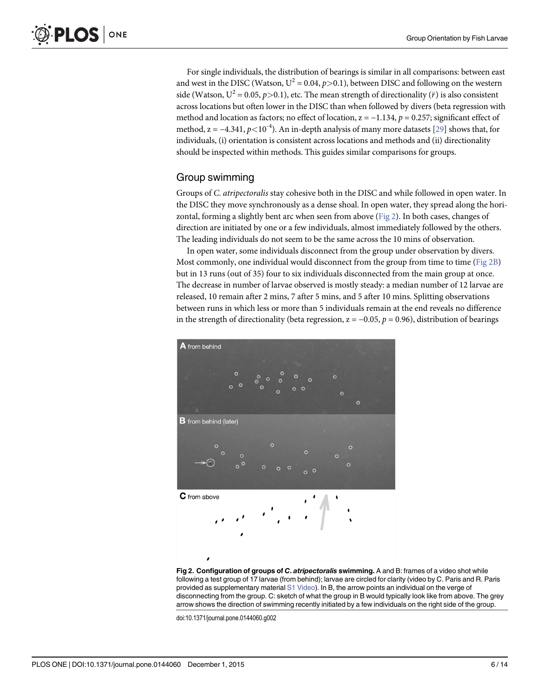<span id="page-5-0"></span>For single individuals, the distribution of bearings is similar in all comparisons: between east and west in the DISC (Watson,  $U^2 = 0.04$ ,  $p > 0.1$ ), between DISC and following on the western side (Watson,  $U^2 = 0.05$ ,  $p > 0.1$ ), etc. The mean strength of directionality ( $\bar{r}$ ) is also consistent across locations but often lower in the DISC than when followed by divers (beta regression with method and location as factors; no effect of location,  $z = -1.134$ ,  $p = 0.257$ ; significant effect of method,  $z = -4.341$ ,  $p < 10^{-4}$ ). An in-depth analysis of many more datasets [[29](#page-12-0)] shows that, for individuals, (i) orientation is consistent across locations and methods and (ii) directionality should be inspected within methods. This guides similar comparisons for groups.

# Group swimming

Groups of C. atripectoralis stay cohesive both in the DISC and while followed in open water. In the DISC they move synchronously as a dense shoal. In open water, they spread along the horizontal, forming a slightly bent arc when seen from above (Fig 2). In both cases, changes of direction are initiated by one or a few individuals, almost immediately followed by the others. The leading individuals do not seem to be the same across the 10 mins of observation.

In open water, some individuals disconnect from the group under observation by divers. Most commonly, one individual would disconnect from the group from time to time (Fig 2B) but in 13 runs (out of 35) four to six individuals disconnected from the main group at once. The decrease in number of larvae observed is mostly steady: a median number of 12 larvae are released, 10 remain after 2 mins, 7 after 5 mins, and 5 after 10 mins. Splitting observations between runs in which less or more than 5 individuals remain at the end reveals no difference in the strength of directionality (beta regression,  $z = -0.05$ ,  $p = 0.96$ ), distribution of bearings



Fig 2. Configuration of groups of C. atripectoralis swimming. A and B: frames of a video shot while following a test group of 17 larvae (from behind); larvae are circled for clarity (video by C. Paris and R. Paris provided as supplementary material [S1 Video](#page-10-0)). In B, the arrow points an individual on the verge of disconnecting from the group. C: sketch of what the group in B would typically look like from above. The grey arrow shows the direction of swimming recently initiated by a few individuals on the right side of the group.

doi:10.1371/journal.pone.0144060.g002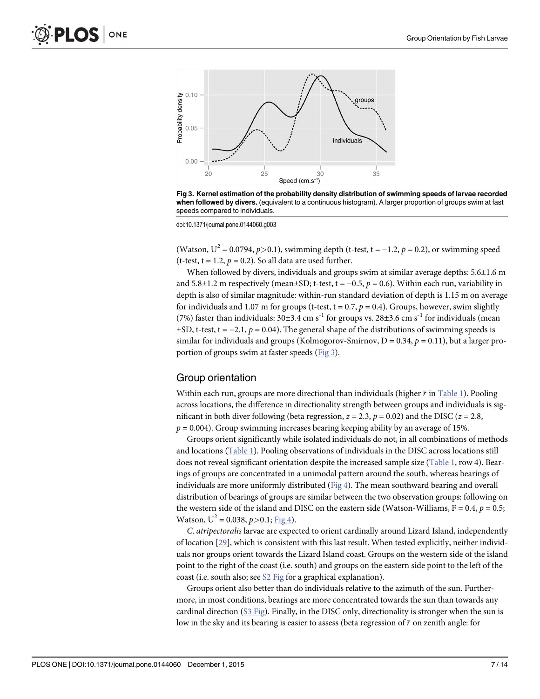<span id="page-6-0"></span>

Fig 3. Kernel estimation of the probability density distribution of swimming speeds of larvae recorded when followed by divers. (equivalent to a continuous histogram). A larger proportion of groups swim at fast speeds compared to individuals.

doi:10.1371/journal.pone.0144060.g003

(Watson,  $U^2 = 0.0794$ ,  $p > 0.1$ ), swimming depth (t-test, t = -1.2,  $p = 0.2$ ), or swimming speed (t-test,  $t = 1.2$ ,  $p = 0.2$ ). So all data are used further.

When followed by divers, individuals and groups swim at similar average depths: 5.6±1.6 m and 5.8±1.2 m respectively (mean±SD; t-test,  $t = -0.5$ ,  $p = 0.6$ ). Within each run, variability in depth is also of similar magnitude: within-run standard deviation of depth is 1.15 m on average for individuals and 1.07 m for groups (t-test,  $t = 0.7$ ,  $p = 0.4$ ). Groups, however, swim slightly (7%) faster than individuals:  $30\pm3.4$  cm s<sup>-1</sup> for groups vs.  $28\pm3.6$  cm s<sup>-1</sup> for individuals (mean  $\pm$ SD, t-test, t = -2.1, p = 0.04). The general shape of the distributions of swimming speeds is similar for individuals and groups (Kolmogorov-Smirnov,  $D = 0.34$ ,  $p = 0.11$ ), but a larger proportion of groups swim at faster speeds  $(Fig 3)$ .

#### Group orientation

Within each run, groups are more directional than individuals (higher  $\bar{r}$  in [Table 1\)](#page-4-0). Pooling across locations, the difference in directionality strength between groups and individuals is significant in both diver following (beta regression,  $z = 2.3$ ,  $p = 0.02$ ) and the DISC ( $z = 2.8$ ,  $p = 0.004$ ). Group swimming increases bearing keeping ability by an average of 15%.

Groups orient significantly while isolated individuals do not, in all combinations of methods and locations ([Table 1\)](#page-4-0). Pooling observations of individuals in the DISC across locations still does not reveal significant orientation despite the increased sample size ([Table 1,](#page-4-0) row 4). Bearings of groups are concentrated in a unimodal pattern around the south, whereas bearings of individuals are more uniformly distributed  $(Fig 4)$  $(Fig 4)$  $(Fig 4)$ . The mean southward bearing and overall distribution of bearings of groups are similar between the two observation groups: following on the western side of the island and DISC on the eastern side (Watson-Williams,  $F = 0.4$ ,  $p = 0.5$ ; Watson,  $U^2 = 0.038$ ,  $p > 0.1$ ; [Fig 4](#page-7-0)).

C. atripectoralis larvae are expected to orient cardinally around Lizard Island, independently of location [[29](#page-12-0)], which is consistent with this last result. When tested explicitly, neither individuals nor groups orient towards the Lizard Island coast. Groups on the western side of the island point to the right of the coast (i.e. south) and groups on the eastern side point to the left of the coast (i.e. south also; see [S2 Fig](#page-10-0) for a graphical explanation).

Groups orient also better than do individuals relative to the azimuth of the sun. Furthermore, in most conditions, bearings are more concentrated towards the sun than towards any cardinal direction [\(S3 Fig](#page-10-0)). Finally, in the DISC only, directionality is stronger when the sun is low in the sky and its bearing is easier to assess (beta regression of  $\bar{r}$  on zenith angle: for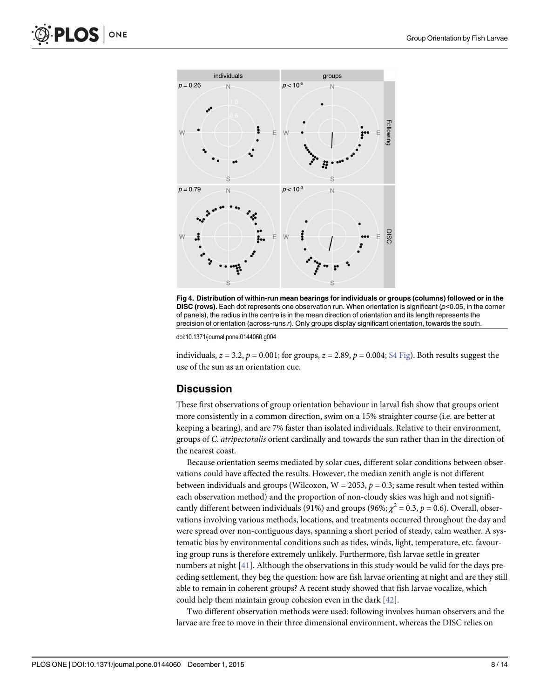<span id="page-7-0"></span>

[Fig 4. D](#page-6-0)istribution of within-run mean bearings for individuals or groups (columns) followed or in the DISC (rows). Each dot represents one observation run. When orientation is significant ( $p$ <0.05, in the corner of panels), the radius in the centre is in the mean direction of orientation and its length represents the precision of orientation (across-runs r). Only groups display significant orientation, towards the south.

doi:10.1371/journal.pone.0144060.g004

individuals,  $z = 3.2$ ,  $p = 0.001$ ; for groups,  $z = 2.89$ ,  $p = 0.004$ ;  $\leq \frac{4 \text{ Fig}}{2}$ . Both results suggest the use of the sun as an orientation cue.

#### **Discussion**

These first observations of group orientation behaviour in larval fish show that groups orient more consistently in a common direction, swim on a 15% straighter course (i.e. are better at keeping a bearing), and are 7% faster than isolated individuals. Relative to their environment, groups of C. atripectoralis orient cardinally and towards the sun rather than in the direction of the nearest coast.

Because orientation seems mediated by solar cues, different solar conditions between observations could have affected the results. However, the median zenith angle is not different between individuals and groups (Wilcoxon,  $W = 2053$ ,  $p = 0.3$ ; same result when tested within each observation method) and the proportion of non-cloudy skies was high and not significantly different between individuals (91%) and groups (96%;  $\chi^2$  = 0.3, p = 0.6). Overall, observations involving various methods, locations, and treatments occurred throughout the day and were spread over non-contiguous days, spanning a short period of steady, calm weather. A systematic bias by environmental conditions such as tides, winds, light, temperature, etc. favouring group runs is therefore extremely unlikely. Furthermore, fish larvae settle in greater numbers at night [[41](#page-12-0)]. Although the observations in this study would be valid for the days preceding settlement, they beg the question: how are fish larvae orienting at night and are they still able to remain in coherent groups? A recent study showed that fish larvae vocalize, which could help them maintain group cohesion even in the dark [\[42](#page-12-0)].

Two different observation methods were used: following involves human observers and the larvae are free to move in their three dimensional environment, whereas the DISC relies on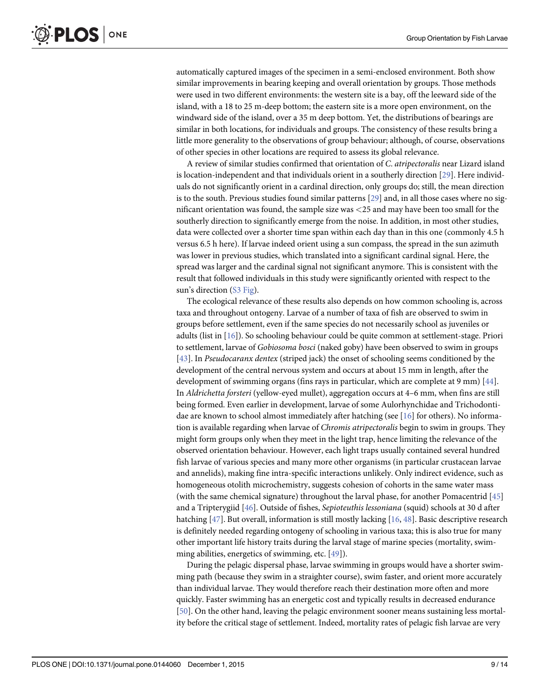<span id="page-8-0"></span>automatically captured images of the specimen in a semi-enclosed environment. Both show similar improvements in bearing keeping and overall orientation by groups. Those methods were used in two different environments: the western site is a bay, off the leeward side of the island, with a 18 to 25 m-deep bottom; the eastern site is a more open environment, on the windward side of the island, over a 35 m deep bottom. Yet, the distributions of bearings are similar in both locations, for individuals and groups. The consistency of these results bring a little more generality to the observations of group behaviour; although, of course, observations of other species in other locations are required to assess its global relevance.

A review of similar studies confirmed that orientation of C. atripectoralis near Lizard island is location-independent and that individuals orient in a southerly direction [\[29](#page-12-0)]. Here individuals do not significantly orient in a cardinal direction, only groups do; still, the mean direction is to the south. Previous studies found similar patterns  $[29]$  and, in all those cases where no significant orientation was found, the sample size was <25 and may have been too small for the southerly direction to significantly emerge from the noise. In addition, in most other studies, data were collected over a shorter time span within each day than in this one (commonly 4.5 h versus 6.5 h here). If larvae indeed orient using a sun compass, the spread in the sun azimuth was lower in previous studies, which translated into a significant cardinal signal. Here, the spread was larger and the cardinal signal not significant anymore. This is consistent with the result that followed individuals in this study were significantly oriented with respect to the sun's direction ([S3 Fig\)](#page-10-0).

The ecological relevance of these results also depends on how common schooling is, across taxa and throughout ontogeny. Larvae of a number of taxa of fish are observed to swim in groups before settlement, even if the same species do not necessarily school as juveniles or adults (list in [\[16\]](#page-11-0)). So schooling behaviour could be quite common at settlement-stage. Priori to settlement, larvae of Gobiosoma bosci (naked goby) have been observed to swim in groups [\[43](#page-12-0)]. In Pseudocaranx dentex (striped jack) the onset of schooling seems conditioned by the development of the central nervous system and occurs at about 15 mm in length, after the development of swimming organs (fins rays in particular, which are complete at 9 mm) [\[44\]](#page-13-0). In Aldrichetta forsteri (yellow-eyed mullet), aggregation occurs at 4–6 mm, when fins are still being formed. Even earlier in development, larvae of some Aulorhynchidae and Trichodontidae are known to school almost immediately after hatching (see [\[16\]](#page-11-0) for others). No information is available regarding when larvae of *Chromis atripectoralis* begin to swim in groups. They might form groups only when they meet in the light trap, hence limiting the relevance of the observed orientation behaviour. However, each light traps usually contained several hundred fish larvae of various species and many more other organisms (in particular crustacean larvae and annelids), making fine intra-specific interactions unlikely. Only indirect evidence, such as homogeneous otolith microchemistry, suggests cohesion of cohorts in the same water mass (with the same chemical signature) throughout the larval phase, for another Pomacentrid [\[45\]](#page-13-0) and a Tripterygiid [[46](#page-13-0)]. Outside of fishes, Sepioteuthis lessoniana (squid) schools at 30 d after hatching [\[47](#page-13-0)]. But overall, information is still mostly lacking [[16](#page-11-0), [48](#page-13-0)]. Basic descriptive research is definitely needed regarding ontogeny of schooling in various taxa; this is also true for many other important life history traits during the larval stage of marine species (mortality, swimming abilities, energetics of swimming, etc. [\[49\]](#page-13-0)).

During the pelagic dispersal phase, larvae swimming in groups would have a shorter swimming path (because they swim in a straighter course), swim faster, and orient more accurately than individual larvae. They would therefore reach their destination more often and more quickly. Faster swimming has an energetic cost and typically results in decreased endurance [\[50](#page-13-0)]. On the other hand, leaving the pelagic environment sooner means sustaining less mortality before the critical stage of settlement. Indeed, mortality rates of pelagic fish larvae are very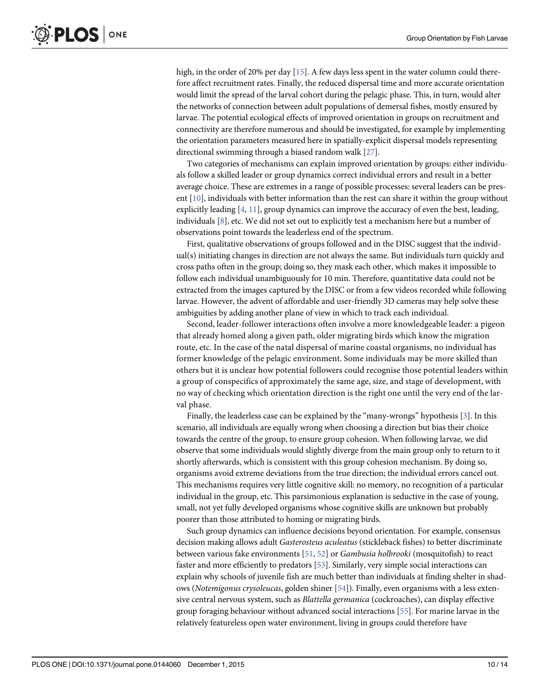<span id="page-9-0"></span>high, in the order of 20% per day [[15](#page-11-0)]. A few days less spent in the water column could therefore affect recruitment rates. Finally, the reduced dispersal time and more accurate orientation would limit the spread of the larval cohort during the pelagic phase. This, in turn, would alter the networks of connection between adult populations of demersal fishes, mostly ensured by larvae. The potential ecological effects of improved orientation in groups on recruitment and connectivity are therefore numerous and should be investigated, for example by implementing the orientation parameters measured here in spatially-explicit dispersal models representing directional swimming through a biased random walk [\[27\]](#page-12-0).

Two categories of mechanisms can explain improved orientation by groups: either individuals follow a skilled leader or group dynamics correct individual errors and result in a better average choice. These are extremes in a range of possible processes: several leaders can be present  $[10]$ , individuals with better information than the rest can share it within the group without explicitly leading [[4,](#page-11-0) [11\]](#page-11-0), group dynamics can improve the accuracy of even the best, leading, individuals [[8](#page-11-0)], etc. We did not set out to explicitly test a mechanism here but a number of observations point towards the leaderless end of the spectrum.

First, qualitative observations of groups followed and in the DISC suggest that the individual(s) initiating changes in direction are not always the same. But individuals turn quickly and cross paths often in the group; doing so, they mask each other, which makes it impossible to follow each individual unambiguously for 10 min. Therefore, quantitative data could not be extracted from the images captured by the DISC or from a few videos recorded while following larvae. However, the advent of affordable and user-friendly 3D cameras may help solve these ambiguities by adding another plane of view in which to track each individual.

Second, leader-follower interactions often involve a more knowledgeable leader: a pigeon that already homed along a given path, older migrating birds which know the migration route, etc. In the case of the natal dispersal of marine coastal organisms, no individual has former knowledge of the pelagic environment. Some individuals may be more skilled than others but it is unclear how potential followers could recognise those potential leaders within a group of conspecifics of approximately the same age, size, and stage of development, with no way of checking which orientation direction is the right one until the very end of the larval phase.

Finally, the leaderless case can be explained by the "many-wrongs" hypothesis [\[3](#page-11-0)]. In this scenario, all individuals are equally wrong when choosing a direction but bias their choice towards the centre of the group, to ensure group cohesion. When following larvae, we did observe that some individuals would slightly diverge from the main group only to return to it shortly afterwards, which is consistent with this group cohesion mechanism. By doing so, organisms avoid extreme deviations from the true direction; the individual errors cancel out. This mechanisms requires very little cognitive skill: no memory, no recognition of a particular individual in the group, etc. This parsimonious explanation is seductive in the case of young, small, not yet fully developed organisms whose cognitive skills are unknown but probably poorer than those attributed to homing or migrating birds.

Such group dynamics can influence decisions beyond orientation. For example, consensus decision making allows adult Gasterosteus aculeatus (stickleback fishes) to better discriminate between various fake environments  $[51, 52]$  $[51, 52]$  $[51, 52]$  $[51, 52]$  $[51, 52]$  or *Gambusia holbrooki* (mosquitofish) to react faster and more efficiently to predators [\[53](#page-13-0)]. Similarly, very simple social interactions can explain why schools of juvenile fish are much better than individuals at finding shelter in shadows (Notemigonus crysoleucas, golden shiner [[54](#page-13-0)]). Finally, even organisms with a less extensive central nervous system, such as Blattella germanica (cockroaches), can display effective group foraging behaviour without advanced social interactions [[55](#page-13-0)]. For marine larvae in the relatively featureless open water environment, living in groups could therefore have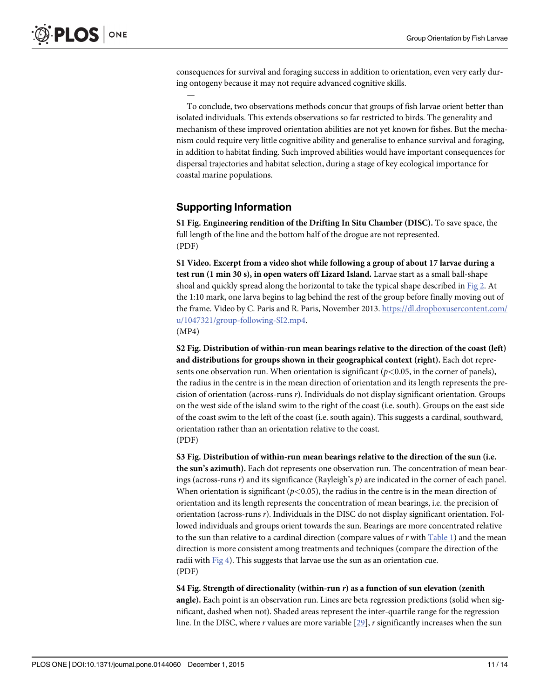<span id="page-10-0"></span>consequences for survival and foraging success in addition to orientation, even very early during ontogeny because it may not require advanced cognitive skills.

To conclude, two observations methods concur that groups of fish larvae orient better than isolated individuals. This extends observations so far restricted to birds. The generality and mechanism of these improved orientation abilities are not yet known for fishes. But the mechanism could require very little cognitive ability and generalise to enhance survival and foraging, in addition to habitat finding. Such improved abilities would have important consequences for dispersal trajectories and habitat selection, during a stage of key ecological importance for coastal marine populations.

## Supporting Information

[S1 Fig.](http://www.plosone.org/article/fetchSingleRepresentation.action?uri=info:doi/10.1371/journal.pone.0144060.s001) Engineering rendition of the Drifting In Situ Chamber (DISC). To save space, the full length of the line and the bottom half of the drogue are not represented. (PDF)

[S1 Video](http://www.plosone.org/article/fetchSingleRepresentation.action?uri=info:doi/10.1371/journal.pone.0144060.s002). Excerpt from a video shot while following a group of about 17 larvae during a test run (1 min 30 s), in open waters off Lizard Island. Larvae start as a small ball-shape shoal and quickly spread along the horizontal to take the typical shape described in [Fig 2](#page-5-0). At the 1:10 mark, one larva begins to lag behind the rest of the group before finally moving out of the frame. Video by C. Paris and R. Paris, November 2013. [https://dl.dropboxusercontent.com/](https://dl.dropboxusercontent.com/u/1047321/group-following-SI2.mp4) [u/1047321/group-following-SI2.mp4.](https://dl.dropboxusercontent.com/u/1047321/group-following-SI2.mp4)

(MP4)

—

[S2 Fig.](http://www.plosone.org/article/fetchSingleRepresentation.action?uri=info:doi/10.1371/journal.pone.0144060.s003) Distribution of within-run mean bearings relative to the direction of the coast (left) and distributions for groups shown in their geographical context (right). Each dot represents one observation run. When orientation is significant ( $p$ <0.05, in the corner of panels), the radius in the centre is in the mean direction of orientation and its length represents the precision of orientation (across-runs  $r$ ). Individuals do not display significant orientation. Groups on the west side of the island swim to the right of the coast (i.e. south). Groups on the east side of the coast swim to the left of the coast (i.e. south again). This suggests a cardinal, southward, orientation rather than an orientation relative to the coast. (PDF)

[S3 Fig.](http://www.plosone.org/article/fetchSingleRepresentation.action?uri=info:doi/10.1371/journal.pone.0144060.s004) Distribution of within-run mean bearings relative to the direction of the sun (i.e. the sun's azimuth). Each dot represents one observation run. The concentration of mean bearings (across-runs  $r$ ) and its significance (Rayleigh's  $p$ ) are indicated in the corner of each panel. When orientation is significant ( $p$ <0.05), the radius in the centre is in the mean direction of orientation and its length represents the concentration of mean bearings, i.e. the precision of orientation (across-runs r). Individuals in the DISC do not display significant orientation. Followed individuals and groups orient towards the sun. Bearings are more concentrated relative to the sun than relative to a cardinal direction (compare values of  $r$  with [Table 1\)](#page-4-0) and the mean direction is more consistent among treatments and techniques (compare the direction of the radii with [Fig 4\)](#page-7-0). This suggests that larvae use the sun as an orientation cue. (PDF)

#### [S4 Fig.](http://www.plosone.org/article/fetchSingleRepresentation.action?uri=info:doi/10.1371/journal.pone.0144060.s005) Strength of directionality (within-run  $r$ ) as a function of sun elevation (zenith

angle). Each point is an observation run. Lines are beta regression predictions (solid when significant, dashed when not). Shaded areas represent the inter-quartile range for the regression line. In the DISC, where  $r$  values are more variable  $[29]$ ,  $r$  significantly increases when the sun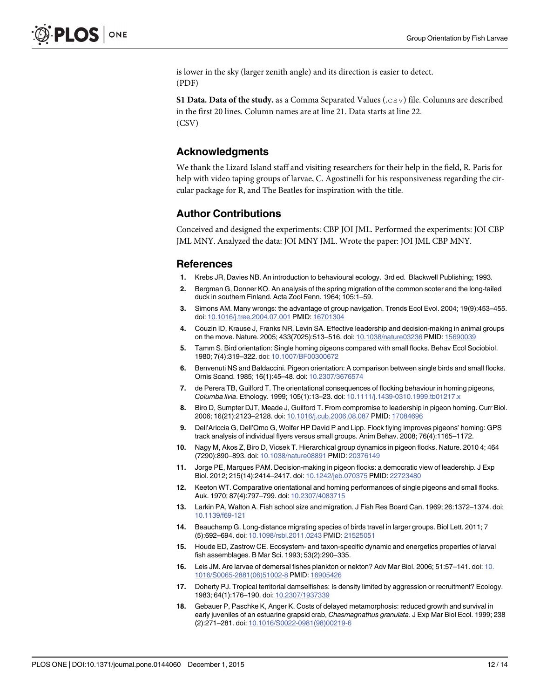<span id="page-11-0"></span>is lower in the sky (larger zenith angle) and its direction is easier to detect. (PDF)

[S1 Data](http://www.plosone.org/article/fetchSingleRepresentation.action?uri=info:doi/10.1371/journal.pone.0144060.s006). Data of the study. as a Comma Separated Values (.csv) file. Columns are described in the first 20 lines. Column names are at line 21. Data starts at line 22. (CSV)

#### Acknowledgments

We thank the Lizard Island staff and visiting researchers for their help in the field, R. Paris for help with video taping groups of larvae, C. Agostinelli for his responsiveness regarding the circular package for R, and The Beatles for inspiration with the title.

## Author Contributions

Conceived and designed the experiments: CBP JOI JML. Performed the experiments: JOI CBP JML MNY. Analyzed the data: JOI MNY JML. Wrote the paper: JOI JML CBP MNY.

#### References

- [1.](#page-0-0) Krebs JR, Davies NB. An introduction to behavioural ecology. 3rd ed. Blackwell Publishing; 1993.
- [2.](#page-0-0) Bergman G, Donner KO. An analysis of the spring migration of the common scoter and the long-tailed duck in southern Finland. Acta Zool Fenn. 1964; 105:1–59.
- [3.](#page-9-0) Simons AM. Many wrongs: the advantage of group navigation. Trends Ecol Evol. 2004; 19(9):453–455. doi: [10.1016/j.tree.2004.07.001](http://dx.doi.org/10.1016/j.tree.2004.07.001) PMID: [16701304](http://www.ncbi.nlm.nih.gov/pubmed/16701304)
- [4.](#page-0-0) Couzin ID, Krause J, Franks NR, Levin SA. Effective leadership and decision-making in animal groups on the move. Nature. 2005; 433(7025):513–516. doi: [10.1038/nature03236](http://dx.doi.org/10.1038/nature03236) PMID: [15690039](http://www.ncbi.nlm.nih.gov/pubmed/15690039)
- [5.](#page-0-0) Tamm S. Bird orientation: Single homing pigeons compared with small flocks. Behav Ecol Sociobiol. 1980; 7(4):319–322. doi: [10.1007/BF00300672](http://dx.doi.org/10.1007/BF00300672)
- 6. Benvenuti NS and Baldaccini. Pigeon orientation: A comparison between single birds and small flocks. Ornis Scand. 1985; 16(1):45–48. doi: [10.2307/3676574](http://dx.doi.org/10.2307/3676574)
- 7. de Perera TB, Guilford T. The orientational consequences of flocking behaviour in homing pigeons, Columba livia. Ethology. 1999; 105(1):13–23. doi: [10.1111/j.1439-0310.1999.tb01217.x](http://dx.doi.org/10.1111/j.1439-0310.1999.tb01217.x)
- [8.](#page-9-0) Biro D, Sumpter DJT, Meade J, Guilford T. From compromise to leadership in pigeon homing. Curr Biol. 2006; 16(21):2123–2128. doi: [10.1016/j.cub.2006.08.087](http://dx.doi.org/10.1016/j.cub.2006.08.087) PMID: [17084696](http://www.ncbi.nlm.nih.gov/pubmed/17084696)
- 9. Dell'Ariccia G, Dell'Omo G, Wolfer HP David P and Lipp. Flock flying improves pigeons' homing: GPS track analysis of individual flyers versus small groups. Anim Behav. 2008; 76(4):1165–1172.
- [10.](#page-9-0) Nagy M, Akos Z, Biro D, Vicsek T. Hierarchical group dynamics in pigeon flocks. Nature. 2010 4; 464 (7290):890–893. doi: [10.1038/nature08891](http://dx.doi.org/10.1038/nature08891) PMID: [20376149](http://www.ncbi.nlm.nih.gov/pubmed/20376149)
- [11.](#page-0-0) Jorge PE, Marques PAM. Decision-making in pigeon flocks: a democratic view of leadership. J Exp Biol. 2012; 215(14):2414–2417. doi: [10.1242/jeb.070375](http://dx.doi.org/10.1242/jeb.070375) PMID: [22723480](http://www.ncbi.nlm.nih.gov/pubmed/22723480)
- [12.](#page-0-0) Keeton WT. Comparative orientational and homing performances of single pigeons and small flocks. Auk. 1970; 87(4):797-799. doi: [10.2307/4083715](http://dx.doi.org/10.2307/4083715)
- [13.](#page-0-0) Larkin PA, Walton A. Fish school size and migration. J Fish Res Board Can. 1969; 26:1372–1374. doi: [10.1139/f69-121](http://dx.doi.org/10.1139/f69-121)
- [14.](#page-0-0) Beauchamp G. Long-distance migrating species of birds travel in larger groups. Biol Lett. 2011; 7 (5):692–694. doi: [10.1098/rsbl.2011.0243](http://dx.doi.org/10.1098/rsbl.2011.0243) PMID: [21525051](http://www.ncbi.nlm.nih.gov/pubmed/21525051)
- [15.](#page-0-0) Houde ED, Zastrow CE. Ecosystem- and taxon-specific dynamic and energetics properties of larval fish assemblages. B Mar Sci. 1993; 53(2):290–335.
- [16.](#page-1-0) Leis JM. Are larvae of demersal fishes plankton or nekton? Adv Mar Biol. 2006; 51:57–141. doi: [10.](http://dx.doi.org/10.1016/S0065-2881(06)51002-8) [1016/S0065-2881\(06\)51002-8](http://dx.doi.org/10.1016/S0065-2881(06)51002-8) PMID: [16905426](http://www.ncbi.nlm.nih.gov/pubmed/16905426)
- [17.](#page-1-0) Doherty PJ. Tropical territorial damselfishes: Is density limited by aggression or recruitment? Ecology. 1983; 64(1):176–190. doi: [10.2307/1937339](http://dx.doi.org/10.2307/1937339)
- [18.](#page-1-0) Gebauer P, Paschke K, Anger K. Costs of delayed metamorphosis: reduced growth and survival in early juveniles of an estuarine grapsid crab, Chasmagnathus granulata. J Exp Mar Biol Ecol. 1999; 238 (2):271–281. doi: [10.1016/S0022-0981\(98\)00219-6](http://dx.doi.org/10.1016/S0022-0981(98)00219-6)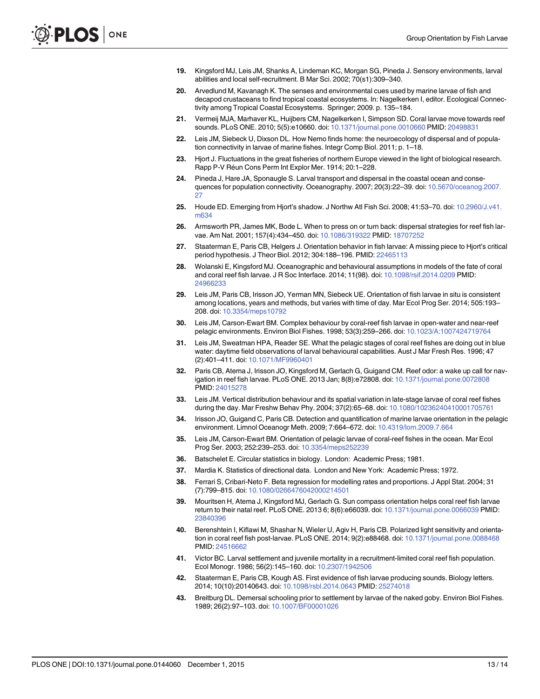- <span id="page-12-0"></span>[19.](#page-1-0) Kingsford MJ, Leis JM, Shanks A, Lindeman KC, Morgan SG, Pineda J. Sensory environments, larval abilities and local self-recruitment. B Mar Sci. 2002; 70(s1):309–340.
- [20.](#page-1-0) Arvedlund M, Kavanagh K. The senses and environmental cues used by marine larvae of fish and decapod crustaceans to find tropical coastal ecosystems. In: Nagelkerken I, editor. Ecological Connectivity among Tropical Coastal Ecosystems. Springer; 2009. p. 135–184.
- 21. Vermeij MJA, Marhaver KL, Huijbers CM, Nagelkerken I, Simpson SD. Coral larvae move towards reef sounds. PLoS ONE. 2010; 5(5):e10660. doi: [10.1371/journal.pone.0010660](http://dx.doi.org/10.1371/journal.pone.0010660) PMID: [20498831](http://www.ncbi.nlm.nih.gov/pubmed/20498831)
- [22.](#page-1-0) Leis JM, Siebeck U, Dixson DL. How Nemo finds home: the neuroecology of dispersal and of population connectivity in larvae of marine fishes. Integr Comp Biol. 2011; p. 1–18.
- [23.](#page-1-0) Hjort J. Fluctuations in the great fisheries of northern Europe viewed in the light of biological research. Rapp P-V Réun Cons Perm Int Explor Mer. 1914; 20:1–228.
- [24.](#page-1-0) Pineda J, Hare JA, Sponaugle S. Larval transport and dispersal in the coastal ocean and consequences for population connectivity. Oceanography. 2007; 20(3):22–39. doi: [10.5670/oceanog.2007.](http://dx.doi.org/10.5670/oceanog.2007.27) [27](http://dx.doi.org/10.5670/oceanog.2007.27)
- [25.](#page-1-0) Houde ED. Emerging from Hjort's shadow. J Northw Atl Fish Sci. 2008; 41:53–70. doi: [10.2960/J.v41.](http://dx.doi.org/10.2960/J.v41.m634) [m634](http://dx.doi.org/10.2960/J.v41.m634)
- [26.](#page-1-0) Armsworth PR, James MK, Bode L. When to press on or turn back: dispersal strategies for reef fish larvae. Am Nat. 2001; 157(4):434–450. doi: [10.1086/319322](http://dx.doi.org/10.1086/319322) PMID: [18707252](http://www.ncbi.nlm.nih.gov/pubmed/18707252)
- [27.](#page-9-0) Staaterman E, Paris CB, Helgers J. Orientation behavior in fish larvae: A missing piece to Hjort's critical period hypothesis. J Theor Biol. 2012; 304:188–196. PMID: [22465113](http://www.ncbi.nlm.nih.gov/pubmed/22465113)
- [28.](#page-1-0) Wolanski E, Kingsford MJ. Oceanographic and behavioural assumptions in models of the fate of coral and coral reef fish larvae. J R Soc Interface. 2014; 11(98). doi: [10.1098/rsif.2014.0209](http://dx.doi.org/10.1098/rsif.2014.0209) PMID: [24966233](http://www.ncbi.nlm.nih.gov/pubmed/24966233)
- [29.](#page-1-0) Leis JM, Paris CB, Irisson JO, Yerman MN, Siebeck UE. Orientation of fish larvae in situ is consistent among locations, years and methods, but varies with time of day. Mar Ecol Prog Ser. 2014; 505:193– 208. doi: [10.3354/meps10792](http://dx.doi.org/10.3354/meps10792)
- [30.](#page-1-0) Leis JM, Carson-Ewart BM. Complex behaviour by coral-reef fish larvae in open-water and near-reef pelagic environments. Environ Biol Fishes. 1998; 53(3):259–266. doi: [10.1023/A:1007424719764](http://dx.doi.org/10.1023/A:1007424719764)
- [31.](#page-2-0) Leis JM, Sweatman HPA, Reader SE. What the pelagic stages of coral reef fishes are doing out in blue water: daytime field observations of larval behavioural capabilities. Aust J Mar Fresh Res. 1996; 47 (2):401–411. doi: [10.1071/MF9960401](http://dx.doi.org/10.1071/MF9960401)
- [32.](#page-3-0) Paris CB, Atema J, Irisson JO, Kingsford M, Gerlach G, Guigand CM. Reef odor: a wake up call for navigation in reef fish larvae. PLoS ONE. 2013 Jan; 8(8):e72808. doi: [10.1371/journal.pone.0072808](http://dx.doi.org/10.1371/journal.pone.0072808) PMID: [24015278](http://www.ncbi.nlm.nih.gov/pubmed/24015278)
- [33.](#page-3-0) Leis JM. Vertical distribution behaviour and its spatial variation in late-stage larvae of coral reef fishes during the day. Mar Freshw Behav Phy. 2004; 37(2):65–68. doi: [10.1080/10236240410001705761](http://dx.doi.org/10.1080/10236240410001705761)
- [34.](#page-3-0) Irisson JO, Guigand C, Paris CB. Detection and quantification of marine larvae orientation in the pelagic environment. Limnol Oceanogr Meth. 2009; 7:664–672. doi: [10.4319/lom.2009.7.664](http://dx.doi.org/10.4319/lom.2009.7.664)
- [35.](#page-3-0) Leis JM, Carson-Ewart BM. Orientation of pelagic larvae of coral-reef fishes in the ocean. Mar Ecol Prog Ser. 2003; 252:239–253. doi: [10.3354/meps252239](http://dx.doi.org/10.3354/meps252239)
- [36.](#page-3-0) Batschelet E. Circular statistics in biology. London: Academic Press; 1981.
- [37.](#page-4-0) Mardia K. Statistics of directional data. London and New York: Academic Press; 1972.
- [38.](#page-4-0) Ferrari S, Cribari-Neto F. Beta regression for modelling rates and proportions. J Appl Stat. 2004; 31 (7):799–815. doi: [10.1080/0266476042000214501](http://dx.doi.org/10.1080/0266476042000214501)
- [39.](#page-4-0) Mouritsen H, Atema J, Kingsford MJ, Gerlach G. Sun compass orientation helps coral reef fish larvae return to their natal reef. PLoS ONE. 2013 6; 8(6):e66039. doi: [10.1371/journal.pone.0066039](http://dx.doi.org/10.1371/journal.pone.0066039) PMID: [23840396](http://www.ncbi.nlm.nih.gov/pubmed/23840396)
- [40.](#page-4-0) Berenshtein I, Kiflawi M, Shashar N, Wieler U, Agiv H, Paris CB. Polarized light sensitivity and orientation in coral reef fish post-larvae. PLoS ONE. 2014; 9(2):e88468. doi: [10.1371/journal.pone.0088468](http://dx.doi.org/10.1371/journal.pone.0088468) PMID: [24516662](http://www.ncbi.nlm.nih.gov/pubmed/24516662)
- [41.](#page-7-0) Victor BC. Larval settlement and juvenile mortality in a recruitment-limited coral reef fish population. Ecol Monogr. 1986; 56(2):145–160. doi: [10.2307/1942506](http://dx.doi.org/10.2307/1942506)
- [42.](#page-7-0) Staaterman E, Paris CB, Kough AS. First evidence of fish larvae producing sounds. Biology letters. 2014; 10(10):20140643. doi: [10.1098/rsbl.2014.0643](http://dx.doi.org/10.1098/rsbl.2014.0643) PMID: [25274018](http://www.ncbi.nlm.nih.gov/pubmed/25274018)
- [43.](#page-8-0) Breitburg DL. Demersal schooling prior to settlement by larvae of the naked goby. Environ Biol Fishes. 1989; 26(2):97–103. doi: [10.1007/BF00001026](http://dx.doi.org/10.1007/BF00001026)